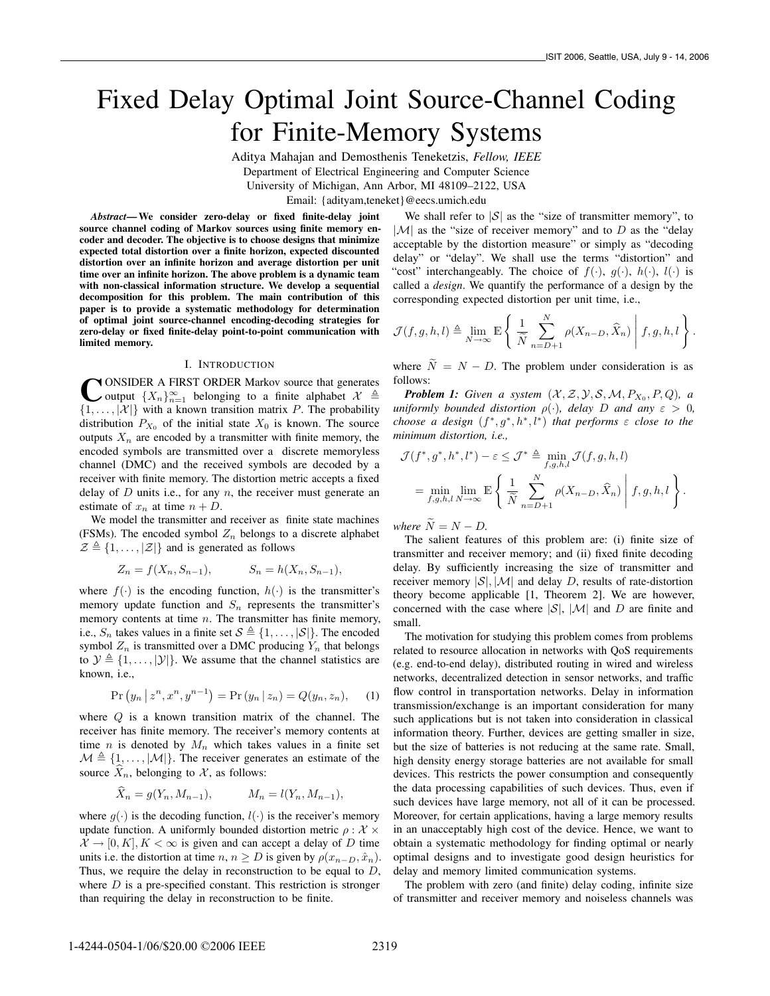# Fixed Delay Optimal Joint Source-Channel Coding for Finite-Memory Systems

Aditya Mahajan and Demosthenis Teneketzis, *Fellow, IEEE* Department of Electrical Engineering and Computer Science University of Michigan, Ann Arbor, MI 48109–2122, USA Email: {adityam,teneket}@eecs.umich.edu

*Abstract*— We consider zero-delay or fixed finite-delay joint source channel coding of Markov sources using finite memory encoder and decoder. The objective is to choose designs that minimize expected total distortion over a finite horizon, expected discounted distortion over an infinite horizon and average distortion per unit time over an infinite horizon. The above problem is a dynamic team with non-classical information structure. We develop a sequential decomposition for this problem. The main contribution of this paper is to provide a systematic methodology for determination of optimal joint source-channel encoding-decoding strategies for zero-delay or fixed finite-delay point-to-point communication with limited memory.

## I. INTRODUCTION

**C** ONSIDER A FIRST ORDER Markov source that generates output  $\{X_n\}_{n=1}^{\infty}$  belonging to a finite alphabet  $\mathcal{X} \triangleq \{1, \ldots, |\mathcal{X}|\}$  with a known transition matrix P. The probability **N** ONSIDER A FIRST ORDER Markov source that generates output  $\{X_n\}_{n=1}^{\infty}$  belonging to a finite alphabet  $\mathcal{X} \triangleq$ distribution  $P_{X_0}$  of the initial state  $X_0$  is known. The source outputs  $X_n$  are encoded by a transmitter with finite memory, the encoded symbols are transmitted over a discrete memoryless channel (DMC) and the received symbols are decoded by a receiver with finite memory. The distortion metric accepts a fixed delay of  $D$  units i.e., for any  $n$ , the receiver must generate an estimate of  $x_n$  at time  $n + D$ .

We model the transmitter and receiver as finite state machines (FSMs). The encoded symbol  $Z_n$  belongs to a discrete alphabet  $\mathcal{Z} \triangleq \{1,\ldots,|\mathcal{Z}|\}$  and is generated as follows

$$
Z_n = f(X_n, S_{n-1}), \t S_n = h(X_n, S_{n-1}),
$$

where  $f(\cdot)$  is the encoding function,  $h(\cdot)$  is the transmitter's memory update function and  $S_n$  represents the transmitter's memory contents at time  $n$ . The transmitter has finite memory, i.e.,  $S_n$  takes values in a finite set  $S \triangleq \{1,\ldots, |\mathcal{S}|\}$ . The encoded symbol  $Z_n$  is transmitted over a DMC producing  $Y_n$  that belongs to  $\mathcal{Y} \triangleq \{1,\ldots,|\mathcal{Y}|\}$ . We assume that the channel statistics are known, i.e.,

$$
Pr(y_n | z^n, x^n, y^{n-1}) = Pr(y_n | z_n) = Q(y_n, z_n), \quad (1)
$$

where Q is a known transition matrix of the channel. The receiver has finite memory. The receiver's memory contents at time *n* is denoted by  $M_n$  which takes values in a finite set  $M \triangleq \{1, \ldots, |\mathcal{M}|\}.$  The receiver generates an estimate of the source  $\hat{X}_n$ , belonging to X, as follows:

$$
\hat{X}_n = g(Y_n, M_{n-1}), \qquad M_n = l(Y_n, M_{n-1}),
$$

where  $g(\cdot)$  is the decoding function,  $l(\cdot)$  is the receiver's memory update function. A uniformly bounded distortion metric  $\rho : \mathcal{X} \times$  $\mathcal{X} \to [0, K], K < \infty$  is given and can accept a delay of D time units i.e. the distortion at time  $n, n \geq D$  is given by  $\rho(x_{n-D}, \hat{x}_n)$ . Thus, we require the delay in reconstruction to be equal to  $D$ , where  $D$  is a pre-specified constant. This restriction is stronger than requiring the delay in reconstruction to be finite.

We shall refer to  $|S|$  as the "size of transmitter memory", to  $|M|$  as the "size of receiver memory" and to  $D$  as the "delay" acceptable by the distortion measure" or simply as "decoding delay" or "delay". We shall use the terms "distortion" and "cost" interchangeably. The choice of  $f(\cdot)$ ,  $g(\cdot)$ ,  $h(\cdot)$ ,  $l(\cdot)$  is called a *design*. We quantify the performance of a design by the corresponding expected distortion per unit time, i.e.,

$$
\mathcal{J}(f,g,h,l) \triangleq \lim_{N \to \infty} \mathbb{E} \left\{ \left. \frac{1}{\widetilde{N}} \sum_{n=D+1}^{N} \rho(X_{n-D}, \widehat{X}_n) \, \right| \, f,g,h,l \right\}.
$$

where  $\tilde{N} = N - D$ . The problem under consideration is as follows:

**Problem 1:** Given a system  $(\mathcal{X}, \mathcal{Z}, \mathcal{Y}, \mathcal{S}, \mathcal{M}, P_{X_0}, P, Q)$ , a *uniformly bounded distortion*  $\rho(\cdot)$ *, delay D and any*  $\varepsilon > 0$ *, choose a design*  $(f^*, g^*, h^*, l^*)$  *that performs*  $\varepsilon$  *close to the minimum distortion, i.e.,*

$$
\mathcal{J}(f^*, g^*, h^*, l^*) - \varepsilon \leq \mathcal{J}^* \triangleq \min_{f,g,h,l} \mathcal{J}(f,g,h,l)
$$
  
= 
$$
\min_{f,g,h,l} \lim_{N \to \infty} \mathbb{E} \left\{ \frac{1}{\widetilde{N}} \sum_{n=D+1}^N \rho(X_{n-D}, \widehat{X}_n) \middle| f,g,h,l \right\}.
$$

*where*  $\widetilde{N} = N - D$ .

The salient features of this problem are: (i) finite size of transmitter and receiver memory; and (ii) fixed finite decoding delay. By sufficiently increasing the size of transmitter and receiver memory  $|S|$ ,  $|M|$  and delay D, results of rate-distortion theory become applicable [1, Theorem 2]. We are however, concerned with the case where  $|S|$ ,  $|M|$  and D are finite and small.

The motivation for studying this problem comes from problems related to resource allocation in networks with QoS requirements (e.g. end-to-end delay), distributed routing in wired and wireless networks, decentralized detection in sensor networks, and traffic flow control in transportation networks. Delay in information transmission/exchange is an important consideration for many such applications but is not taken into consideration in classical information theory. Further, devices are getting smaller in size, but the size of batteries is not reducing at the same rate. Small, high density energy storage batteries are not available for small devices. This restricts the power consumption and consequently the data processing capabilities of such devices. Thus, even if such devices have large memory, not all of it can be processed. Moreover, for certain applications, having a large memory results in an unacceptably high cost of the device. Hence, we want to obtain a systematic methodology for finding optimal or nearly optimal designs and to investigate good design heuristics for delay and memory limited communication systems.

The problem with zero (and finite) delay coding, infinite size of transmitter and receiver memory and noiseless channels was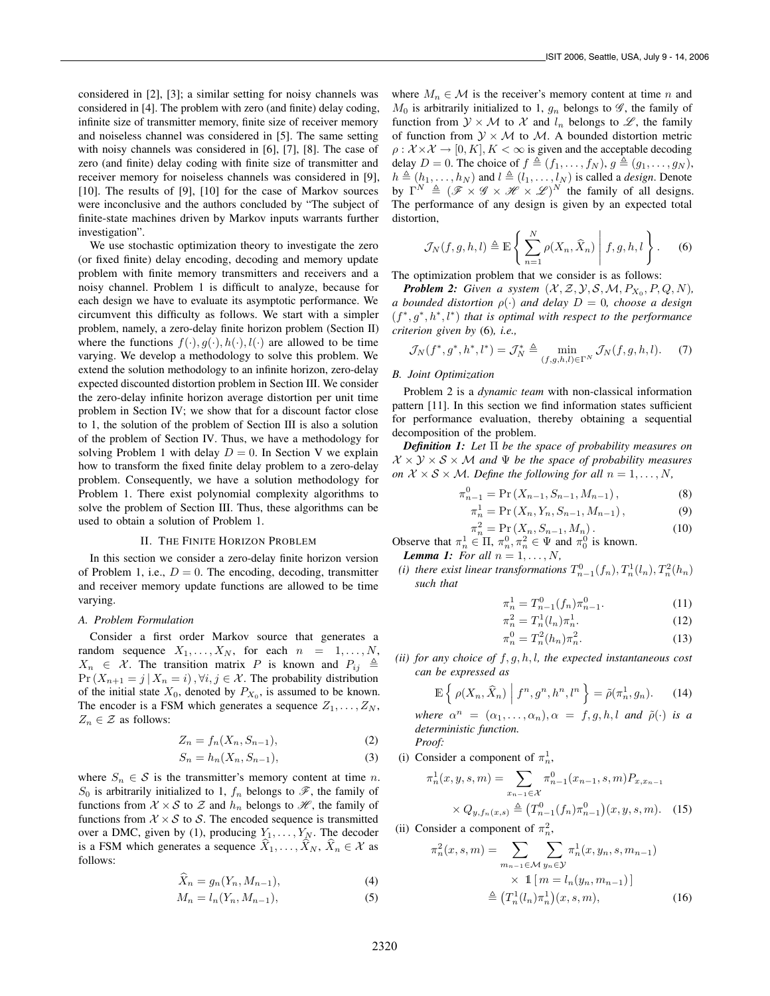considered in [2], [3]; a similar setting for noisy channels was considered in [4]. The problem with zero (and finite) delay coding, infinite size of transmitter memory, finite size of receiver memory and noiseless channel was considered in [5]. The same setting with noisy channels was considered in [6], [7], [8]. The case of zero (and finite) delay coding with finite size of transmitter and receiver memory for noiseless channels was considered in [9], [10]. The results of [9], [10] for the case of Markov sources were inconclusive and the authors concluded by "The subject of finite-state machines driven by Markov inputs warrants further investigation".

We use stochastic optimization theory to investigate the zero (or fixed finite) delay encoding, decoding and memory update problem with finite memory transmitters and receivers and a noisy channel. Problem 1 is difficult to analyze, because for each design we have to evaluate its asymptotic performance. We circumvent this difficulty as follows. We start with a simpler problem, namely, a zero-delay finite horizon problem (Section II) where the functions  $f(\cdot), g(\cdot), h(\cdot), l(\cdot)$  are allowed to be time varying. We develop a methodology to solve this problem. We extend the solution methodology to an infinite horizon, zero-delay expected discounted distortion problem in Section III. We consider the zero-delay infinite horizon average distortion per unit time problem in Section IV; we show that for a discount factor close to 1, the solution of the problem of Section III is also a solution of the problem of Section IV. Thus, we have a methodology for solving Problem 1 with delay  $D = 0$ . In Section V we explain how to transform the fixed finite delay problem to a zero-delay problem. Consequently, we have a solution methodology for Problem 1. There exist polynomial complexity algorithms to solve the problem of Section III. Thus, these algorithms can be used to obtain a solution of Problem 1.

#### II. THE FINITE HORIZON PROBLEM

In this section we consider a zero-delay finite horizon version of Problem 1, i.e.,  $D = 0$ . The encoding, decoding, transmitter and receiver memory update functions are allowed to be time varying.

## *A. Problem Formulation*

Consider a first order Markov source that generates a random sequence  $X_1, \ldots, X_N$ , for each  $n = 1, \ldots, N$ ,  $X_n \in \mathcal{X}$ . The transition matrix P is known and  $P_{ij} \triangleq$  $Pr(X_{n+1} = j | X_n = i), \forall i, j \in \mathcal{X}$ . The probability distribution of the initial state  $X_0$ , denoted by  $P_{X_0}$ , is assumed to be known. The encoder is a FSM which generates a sequence  $Z_1, \ldots, Z_N$ ,  $Z_n \in \mathcal{Z}$  as follows:

$$
Z_n = f_n(X_n, S_{n-1}),\tag{2}
$$

$$
S_n = h_n(X_n, S_{n-1}),\tag{3}
$$

where  $S_n \in \mathcal{S}$  is the transmitter's memory content at time n.  $S_0$  is arbitrarily initialized to 1,  $f_n$  belongs to  $\mathscr{F}$ , the family of functions from  $X \times S$  to Z and  $h_n$  belongs to  $\mathcal{H}$ , the family of functions from  $X \times S$  to S. The encoded sequence is transmitted over a DMC, given by (1), producing  $Y_1, \ldots, Y_N$ . The decoder is a FSM which generates a sequence  $\hat{X}_1, \ldots, \hat{X}_N, \hat{X}_n \in \mathcal{X}$  as follows:

$$
\widehat{X}_n = g_n(Y_n, M_{n-1}),\tag{4}
$$

$$
M_n = l_n(Y_n, M_{n-1}),\tag{5}
$$

where  $M_n \in \mathcal{M}$  is the receiver's memory content at time n and  $M_0$  is arbitrarily initialized to 1,  $g_n$  belongs to  $\mathscr{G}$ , the family of function from  $\mathcal{Y} \times \mathcal{M}$  to  $\mathcal{X}$  and  $l_n$  belongs to  $\mathcal{L}$ , the family of function from  $\mathcal{Y} \times \mathcal{M}$  to  $\mathcal{M}$ . A bounded distortion metric  $\rho: \mathcal{X} \times \mathcal{X} \rightarrow [0, K], K < \infty$  is given and the acceptable decoding delay  $D = 0$ . The choice of  $f \triangleq (f_1, \ldots, f_N)$ ,  $g \triangleq (g_1, \ldots, g_N)$ ,  $h \triangleq (h_1,\ldots,h_N)$  and  $l \triangleq (l_1,\ldots,l_N)$  is called a *design*. Denote by  $\Gamma^N \triangleq (\mathscr{F} \times \mathscr{G} \times \mathscr{H} \times \mathscr{L})^N$  the family of all designs. The performance of any design is given by an expected total distortion,

$$
\mathcal{J}_N(f,g,h,l) \triangleq \mathbb{E}\left\{\left.\sum_{n=1}^N \rho(X_n,\widehat{X}_n)\,\right|\,f,g,h,l\,\right\}.\tag{6}
$$

The optimization problem that we consider is as follows:

**Problem 2:** Given a system  $(X, \mathcal{Z}, \mathcal{Y}, \mathcal{S}, \mathcal{M}, P_{X_0}, P, Q, N)$ , *a bounded distortion*  $\rho(\cdot)$  *and delay*  $D = 0$ *, choose a design* (f ∗ , g<sup>∗</sup> , h<sup>∗</sup> , l∗ ) *that is optimal with respect to the performance criterion given by* (6)*, i.e.,*

$$
\mathcal{J}_N(f^*, g^*, h^*, l^*) = \mathcal{J}_N^* \triangleq \min_{(f,g,h,l)\in\Gamma^N} \mathcal{J}_N(f,g,h,l). \tag{7}
$$

# *B. Joint Optimization*

Problem 2 is a *dynamic team* with non-classical information pattern [11]. In this section we find information states sufficient for performance evaluation, thereby obtaining a sequential decomposition of the problem.

*Definition 1: Let* Π *be the space of probability measures on*  $X \times Y \times S \times M$  *and*  $\Psi$  *be the space of probability measures on*  $X \times S \times M$ *. Define the following for all*  $n = 1, \ldots, N$ *,* 

$$
\pi_{n-1}^0 = \Pr\left(X_{n-1}, S_{n-1}, M_{n-1}\right),\tag{8}
$$

$$
\pi_n^1 = \Pr(X_n, Y_n, S_{n-1}, M_{n-1}), \tag{9}
$$

$$
\pi_n^2 = \Pr\left(X_n, S_{n-1}, M_n\right). \tag{10}
$$

Observe that  $\pi_n^1 \in \Pi$ ,  $\pi_n^0, \pi_n^2 \in \Psi$  and  $\pi_0^0$  is known.

*Lemma 1: For all*  $n = 1, \ldots, N$ ,

(i) there exist linear transformations  $T_{n-1}^0(f_n), T_n^1(l_n), T_n^2(h_n)$ *such that*

$$
\pi_n^1 = T_{n-1}^0(f_n)\pi_{n-1}^0.
$$
 (11)

$$
\pi_n^2 = T_n^1(l_n)\pi_n^1.
$$
 (12)

$$
\pi_n^0 = T_n^2(h_n)\pi_n^2.
$$
 (13)

*(ii) for any choice of* f, g, h, l*, the expected instantaneous cost can be expressed as*

$$
\mathbb{E}\left\{\left.\rho(X_n,\widehat{X}_n)\,\,\bigg|\,\,f^n,g^n,h^n,l^n\,\right\}=\tilde{\rho}(\pi_n^1,g_n). \qquad (14)
$$

*where*  $\alpha^n = (\alpha_1, \ldots, \alpha_n), \alpha = f, g, h, l$  *and*  $\tilde{\rho}(\cdot)$  *is a deterministic function. Proof:*

(i) Consider a component of  $\pi_n^1$ ,

$$
\pi_n^1(x, y, s, m) = \sum_{x_{n-1} \in \mathcal{X}} \pi_{n-1}^0(x_{n-1}, s, m) P_{x, x_{n-1}} \times Q_{y, f_n(x, s)} \stackrel{\Delta}{=} (T_{n-1}^0(f_n) \pi_{n-1}^0)(x, y, s, m). \tag{15}
$$

(ii) Consider a component of  $\pi_n^2$ ,

$$
\pi_n^2(x, s, m) = \sum_{m_{n-1} \in \mathcal{M}} \sum_{y_n \in \mathcal{Y}} \pi_n^1(x, y_n, s, m_{n-1})
$$
  
 
$$
\times \mathbb{1} \left[ m = l_n(y_n, m_{n-1}) \right]
$$
  
 
$$
\stackrel{\triangle}{=} (T_n^1(l_n)\pi_n^1)(x, s, m), \tag{16}
$$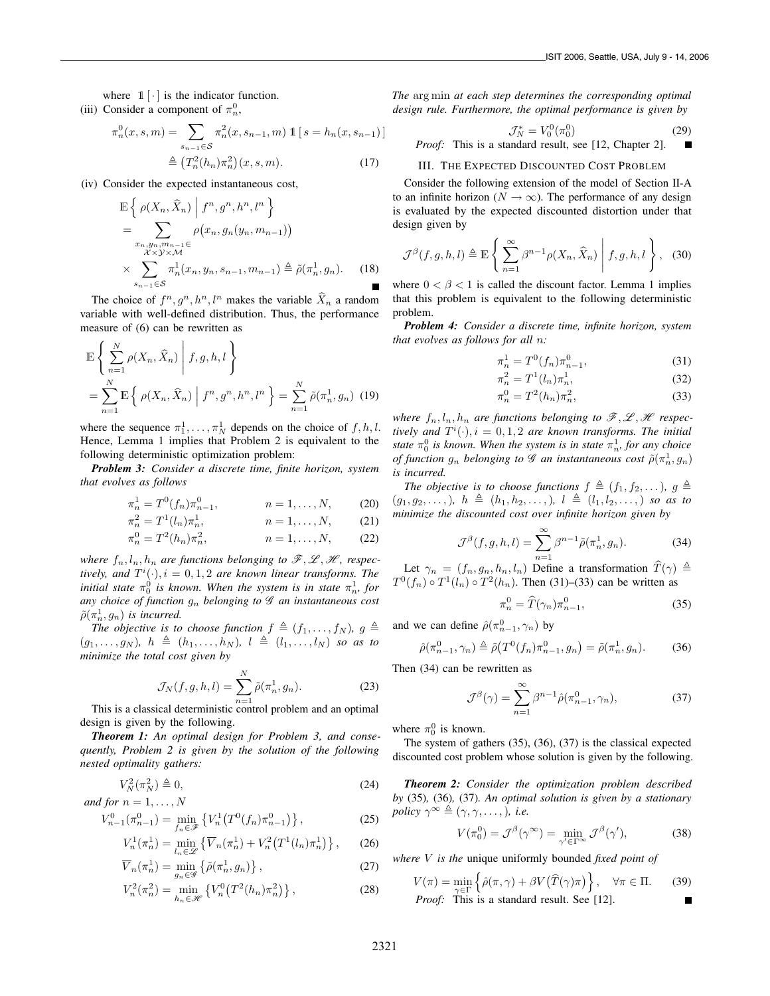where  $1 \cdot |$  is the indicator function.

(iii) Consider a component of  $\pi_n^0$ ,

$$
\pi_n^0(x, s, m) = \sum_{s_{n-1} \in S} \pi_n^2(x, s_{n-1}, m) \mathbb{1} [s = h_n(x, s_{n-1})]
$$

$$
\triangleq (T_n^2(h_n)\pi_n^2)(x, s, m).
$$
 (17)

(iv) Consider the expected instantaneous cost,

$$
\mathbb{E}\left\{\rho(X_n, \widehat{X}_n) \middle| f^n, g^n, h^n, l^n\right\}= \sum_{\substack{x_n, y_n, m_{n-1}\in X\\ \lambda \times \lambda \times \mathcal{M}}} \rho(x_n, g_n(y_n, m_{n-1}))\times \sum_{\substack{s_{n-1}\in S\\ \sigma_{n-1}\in S}} \pi_n^1(x_n, y_n, s_{n-1}, m_{n-1}) \triangleq \tilde{\rho}(\pi_n^1, g_n).
$$
 (18)

The choice of  $f^n, g^n, h^n, l^n$  makes the variable  $\hat{X}_n$  a random variable with well-defined distribution. Thus, the performance measure of (6) can be rewritten as

$$
\mathbb{E}\left\{\sum_{n=1}^{N}\rho(X_n,\widehat{X}_n)\middle|f,g,h,l\right\}
$$
\n
$$
=\sum_{n=1}^{N}\mathbb{E}\left\{\rho(X_n,\widehat{X}_n)\middle|f^n,g^n,h^n,l^n\right\}=\sum_{n=1}^{N}\widetilde{\rho}(\pi_n^1,g_n)\tag{19}
$$

where the sequence  $\pi_1^1, \ldots, \pi_N^1$  depends on the choice of  $f, h, l$ . Hence, Lemma 1 implies that Problem 2 is equivalent to the following deterministic optimization problem:

*Problem 3: Consider a discrete time, finite horizon, system that evolves as follows*

$$
\pi_n^1 = T^0(f_n)\pi_{n-1}^0, \qquad n = 1, \dots, N, \qquad (20)
$$

$$
\pi_n^2 = T^1(l_n)\pi_n^1, \qquad n = 1, \dots, N, \qquad (21)
$$

$$
\pi_n^0 = T^2(h_n)\pi_n^2, \qquad n = 1, \dots, N, \qquad (22)
$$

*where*  $f_n, l_n, h_n$  *are functions belonging to*  $\mathcal{F}, \mathcal{L}, \mathcal{H}$ *, respec*tively, and  $T^i(\cdot), i = 0, 1, 2$  are known linear transforms. The  $i$ *nitial state*  $\pi_0^0$  *is known. When the system is in state*  $\pi_n^1$ *, for any choice of function* g<sup>n</sup> *belonging to* G *an instantaneous cost*  $\tilde{\rho}(\pi_n^1, g_n)$  is incurred.

*The objective is to choose function*  $f \triangleq (f_1, \ldots, f_N)$ *,*  $g \triangleq$  $(g_1,\ldots,g_N)$ *,*  $h \triangleq (h_1,\ldots,h_N)$ *,*  $l \triangleq (l_1,\ldots,l_N)$  *so as to minimize the total cost given by*

$$
\mathcal{J}_N(f, g, h, l) = \sum_{n=1}^N \tilde{\rho}(\pi_n^1, g_n).
$$
 (23)

This is a classical deterministic control problem and an optimal design is given by the following.

*Theorem 1: An optimal design for Problem 3, and consequently, Problem 2 is given by the solution of the following nested optimality gathers:*

$$
V_N^2(\pi_N^2) \triangleq 0,\tag{24}
$$

*and for*  $n = 1, \ldots, N$ 

$$
V_{n-1}^{0}(\pi_{n-1}^{0}) = \min_{f_{n} \in \mathcal{F}} \left\{ V_{n}^{1}(T^{0}(f_{n})\pi_{n-1}^{0}) \right\},
$$
 (25)

$$
V_n^1(\pi_n^1) = \min_{l_n \in \mathscr{L}} \left\{ \overline{V}_n(\pi_n^1) + V_n^2(T^1(l_n)\pi_n^1) \right\},\qquad(26)
$$

$$
\overline{V}_n(\pi_n^1) = \min_{g_n \in \mathcal{G}} \left\{ \tilde{\rho}(\pi_n^1, g_n) \right\},\tag{27}
$$

$$
V_n^2(\pi_n^2) = \min_{h_n \in \mathcal{H}} \left\{ V_n^0(T^2(h_n)\pi_n^2) \right\},\tag{28}
$$

*The* arg min *at each step determines the corresponding optimal design rule. Furthermore, the optimal performance is given by*

$$
\mathcal{J}_N^* = V_0^0(\pi_0^0)
$$
 (29)  
This is a standard result, see [12, Chapter 2].

#### III. THE EXPECTED DISCOUNTED COST PROBLEM

*Proof:* 

Consider the following extension of the model of Section II-A to an infinite horizon ( $N \rightarrow \infty$ ). The performance of any design is evaluated by the expected discounted distortion under that design given by

$$
\mathcal{J}^{\beta}(f,g,h,l) \triangleq \mathbb{E}\left\{\sum_{n=1}^{\infty} \beta^{n-1} \rho(X_n,\widehat{X}_n) \middle| f,g,h,l\right\},\quad(30)
$$

where  $0 < \beta < 1$  is called the discount factor. Lemma 1 implies that this problem is equivalent to the following deterministic problem.

*Problem 4: Consider a discrete time, infinite horizon, system that evolves as follows for all* n*:*

$$
\pi_n^1 = T^0(f_n)\pi_{n-1}^0,\tag{31}
$$

$$
\pi_n^2 = T^1(l_n)\pi_n^1,
$$
\n(32)

$$
\pi_n^0 = T^2(h_n)\pi_n^2,\tag{33}
$$

*where*  $f_n, l_n, h_n$  are functions belonging to  $\mathcal{F}, \mathcal{L}, \mathcal{H}$  respectively and  $T^i(\cdot), i = 0, 1, 2$  are known transforms. The initial *state*  $\pi_0^0$  *is known. When the system is in state*  $\pi_n^1$ *, for any choice of function*  $g_n$  *belonging to*  $\mathscr G$  *an instantaneous cost*  $\tilde{\rho}(\pi_n^1, g_n)$ *is incurred.*

*The objective is to choose functions*  $f \triangleq (f_1, f_2, \ldots)$ *,*  $g \triangleq$  $(g_1, g_2,...), h \triangleq (h_1, h_2,...), l \triangleq (l_1, l_2,...)$  *so as to minimize the discounted cost over infinite horizon given by*

$$
\mathcal{J}^{\beta}(f,g,h,l) = \sum_{n=1}^{\infty} \beta^{n-1} \tilde{\rho}(\pi_n^1, g_n).
$$
 (34)

Let  $\gamma_n = (f_n, g_n, h_n, l_n)$  Define a transformation  $\widehat{T}(\gamma) \triangleq$  $T^0(f_n) \circ T^1(l_n) \circ T^2(h_n)$ . Then (31)–(33) can be written as

$$
\pi_n^0 = \widehat{T}(\gamma_n)\pi_{n-1}^0,\tag{35}
$$

and we can define  $\hat{\rho}(\pi_{n-1}^0, \gamma_n)$  by

$$
\hat{\rho}(\pi_{n-1}^0, \gamma_n) \triangleq \tilde{\rho}(T^0(f_n)\pi_{n-1}^0, g_n) = \tilde{\rho}(\pi_n^1, g_n). \tag{36}
$$

Then (34) can be rewritten as

$$
\mathcal{J}^{\beta}(\gamma) = \sum_{n=1}^{\infty} \beta^{n-1} \hat{\rho}(\pi_{n-1}^0, \gamma_n), \tag{37}
$$

where  $\pi_0^0$  is known.

The system of gathers (35), (36), (37) is the classical expected discounted cost problem whose solution is given by the following.

*Theorem 2: Consider the optimization problem described by* (35)*,* (36)*,* (37)*. An optimal solution is given by a stationary policy*  $\gamma^{\infty} \triangleq (\gamma, \gamma, \ldots),$  *i.e.* 

$$
V(\pi_0^0) = \mathcal{J}^\beta(\gamma^\infty) = \min_{\gamma' \in \Gamma^\infty} \mathcal{J}^\beta(\gamma'),\tag{38}
$$

*where* V *is the* unique uniformly bounded *fixed point of*

$$
V(\pi) = \min_{\gamma \in \Gamma} \left\{ \hat{\rho}(\pi, \gamma) + \beta V(\widehat{T}(\gamma)\pi) \right\}, \quad \forall \pi \in \Pi. \tag{39}
$$
  
*Proof:* This is a standard result. See [12].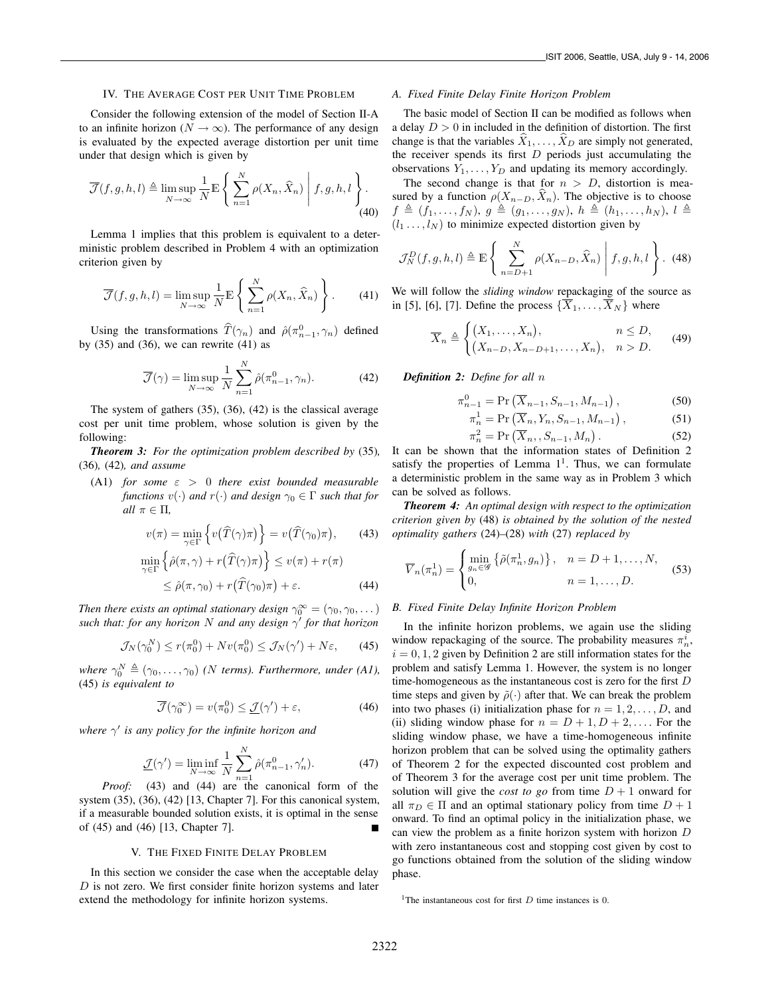# IV. THE AVERAGE COST PER UNIT TIME PROBLEM

Consider the following extension of the model of Section II-A to an infinite horizon ( $N \to \infty$ ). The performance of any design is evaluated by the expected average distortion per unit time under that design which is given by

$$
\overline{\mathcal{J}}(f,g,h,l) \triangleq \limsup_{N \to \infty} \frac{1}{N} \mathbb{E} \left\{ \left. \sum_{n=1}^{N} \rho(X_n, \widehat{X}_n) \; \right| \; f,g,h,l \right\}.
$$
\n(40)

Lemma 1 implies that this problem is equivalent to a deterministic problem described in Problem 4 with an optimization criterion given by

$$
\overline{\mathcal{J}}(f,g,h,l) = \limsup_{N \to \infty} \frac{1}{N} \mathbb{E} \left\{ \sum_{n=1}^{N} \rho(X_n, \widehat{X}_n) \right\}.
$$
 (41)

Using the transformations  $\hat{T}(\gamma_n)$  and  $\hat{\rho}(\pi_{n-1}^0, \gamma_n)$  defined by  $(35)$  and  $(36)$ , we can rewrite  $(41)$  as

$$
\overline{\mathcal{J}}(\gamma) = \limsup_{N \to \infty} \frac{1}{N} \sum_{n=1}^{N} \hat{\rho}(\pi_{n-1}^0, \gamma_n).
$$
 (42)

The system of gathers (35), (36), (42) is the classical average cost per unit time problem, whose solution is given by the following:

*Theorem 3: For the optimization problem described by* (35)*,* (36)*,* (42)*, and assume*

(A1) *for some*  $\varepsilon > 0$  *there exist bounded measurable functions*  $v(\cdot)$  *and*  $r(\cdot)$  *and design*  $\gamma_0 \in \Gamma$  *such that for all*  $\pi \in \Pi$ ,

$$
v(\pi) = \min_{\gamma \in \Gamma} \left\{ v(\widehat{T}(\gamma)\pi) \right\} = v(\widehat{T}(\gamma_0)\pi), \quad (43)
$$

$$
\min_{\gamma \in \Gamma} \left\{ \hat{\rho}(\pi, \gamma) + r(\hat{T}(\gamma)\pi) \right\} \le v(\pi) + r(\pi) \le \hat{\rho}(\pi, \gamma_0) + r(\hat{T}(\gamma_0)\pi) + \varepsilon.
$$
\n(44)

*Then there exists an optimal stationary design*  $\gamma_0^{\infty} = (\gamma_0, \gamma_0, \dots)$ *such that: for any horizon* N *and any design* γ ′ *for that horizon*

$$
\mathcal{J}_N(\gamma_0^N) \le r(\pi_0^0) + Nv(\pi_0^0) \le \mathcal{J}_N(\gamma') + N\varepsilon, \qquad (45)
$$

where  $\gamma_0^N \triangleq (\gamma_0, \ldots, \gamma_0)$  *(N terms). Furthermore, under (A1),* (45) *is equivalent to*

$$
\overline{\mathcal{J}}(\gamma_0^{\infty}) = v(\pi_0^0) \le \underline{\mathcal{J}}(\gamma') + \varepsilon,
$$
 (46)

*where* γ ′ *is any policy for the infinite horizon and*

$$
\underline{\mathcal{J}}(\gamma') = \liminf_{N \to \infty} \frac{1}{N} \sum_{n=1}^{N} \hat{\rho}(\pi_{n-1}^0, \gamma'_n). \tag{47}
$$

*Proof:* (43) and (44) are the canonical form of the system (35), (36), (42) [13, Chapter 7]. For this canonical system, if a measurable bounded solution exists, it is optimal in the sense of (45) and (46) [13, Chapter 7].

#### V. THE FIXED FINITE DELAY PROBLEM

In this section we consider the case when the acceptable delay  $D$  is not zero. We first consider finite horizon systems and later extend the methodology for infinite horizon systems.

## *A. Fixed Finite Delay Finite Horizon Problem*

The basic model of Section II can be modified as follows when a delay  $D > 0$  in included in the definition of distortion. The first change is that the variables  $\hat{X}_1, \ldots, \hat{X}_D$  are simply not generated, the receiver spends its first  $D$  periods just accumulating the observations  $Y_1, \ldots, Y_D$  and updating its memory accordingly.

The second change is that for  $n > D$ , distortion is measured by a function  $\rho(X_{n-D}, \widehat{X}_n)$ . The objective is to choose  $f \triangleq (f_1,\ldots,f_N), g \triangleq (g_1,\ldots,g_N), h \triangleq (h_1,\ldots,h_N), l \triangleq$  $(l_1 \ldots, l_N)$  to minimize expected distortion given by

$$
\mathcal{J}_N^D(f,g,h,l) \triangleq \mathbb{E}\left\{\sum_{n=D+1}^N \rho(X_{n-D},\widehat{X}_n) \middle| f,g,h,l\right\}.
$$
 (48)

We will follow the *sliding window* repackaging of the source as in [5], [6], [7]. Define the process  $\{\overline{X}_1,\ldots,\overline{X}_N\}$  where

$$
\overline{X}_n \triangleq \begin{cases} (X_1, \dots, X_n), & n \leq D, \\ (X_{n-D}, X_{n-D+1}, \dots, X_n), & n > D. \end{cases}
$$
 (49)

*Definition 2: Define for all* n

$$
\pi_{n-1}^0 = \Pr\left(\overline{X}_{n-1}, S_{n-1}, M_{n-1}\right),\tag{50}
$$

$$
\pi_n^1 = \Pr\left(\overline{X}_n, Y_n, S_{n-1}, M_{n-1}\right),\tag{51}
$$

$$
\pi_n^2 = \Pr\left(\overline{X}_n, S_{n-1}, M_n\right). \tag{52}
$$

It can be shown that the information states of Definition 2 satisfy the properties of Lemma  $1<sup>1</sup>$ . Thus, we can formulate a deterministic problem in the same way as in Problem 3 which can be solved as follows.

*Theorem 4: An optimal design with respect to the optimization criterion given by* (48) *is obtained by the solution of the nested optimality gathers* (24)*–*(28) *with* (27) *replaced by*

$$
\overline{V}_n(\pi_n^1) = \begin{cases} \min_{g_n \in \mathscr{G}} \left\{ \tilde{\rho}(\pi_n^1, g_n) \right\}, & n = D + 1, \dots, N, \\ 0, & n = 1, \dots, D. \end{cases}
$$
(53)

### *B. Fixed Finite Delay Infinite Horizon Problem*

In the infinite horizon problems, we again use the sliding window repackaging of the source. The probability measures  $\pi_n^i$ ,  $i = 0, 1, 2$  given by Definition 2 are still information states for the problem and satisfy Lemma 1. However, the system is no longer time-homogeneous as the instantaneous cost is zero for the first D time steps and given by  $\tilde{\rho}(\cdot)$  after that. We can break the problem into two phases (i) initialization phase for  $n = 1, 2, \ldots, D$ , and (ii) sliding window phase for  $n = D + 1, D + 2, \ldots$ . For the sliding window phase, we have a time-homogeneous infinite horizon problem that can be solved using the optimality gathers of Theorem 2 for the expected discounted cost problem and of Theorem 3 for the average cost per unit time problem. The solution will give the *cost to go* from time  $D + 1$  onward for all  $\pi_D \in \Pi$  and an optimal stationary policy from time  $D + 1$ onward. To find an optimal policy in the initialization phase, we can view the problem as a finite horizon system with horizon D with zero instantaneous cost and stopping cost given by cost to go functions obtained from the solution of the sliding window phase.

<sup>1</sup>The instantaneous cost for first  $D$  time instances is 0.